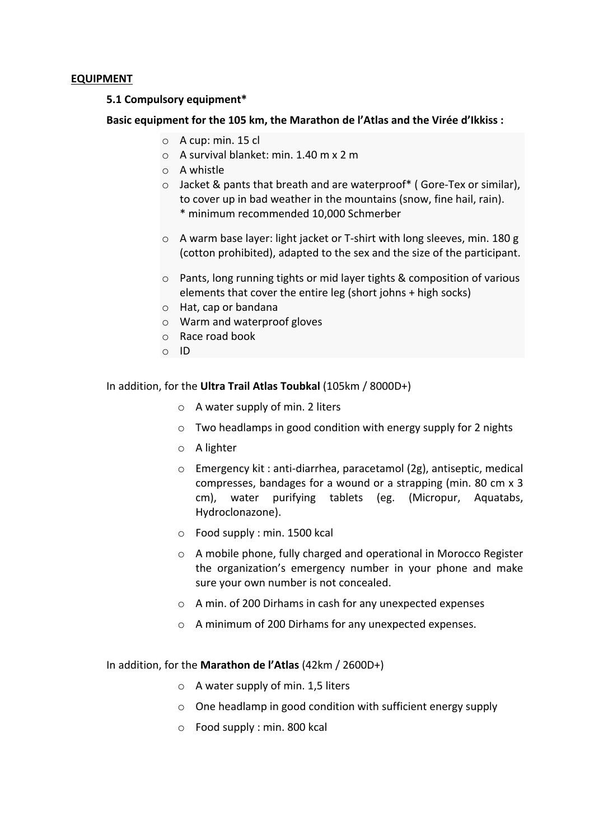### **EQUIPMENT**

#### **5.1 Compulsory equipment\***

### **Basic equipment for the 105 km, the Marathon de l'Atlas and the Virée d'Ikkiss :**

- $\circ$  A cup: min. 15 cl
- $\circ$  A survival blanket: min. 1.40 m x 2 m
- o A whistle
- $\circ$  Jacket & pants that breath and are waterproof\* ( Gore-Tex or similar), to cover up in bad weather in the mountains (snow, fine hail, rain). \* minimum recommended 10,000 Schmerber
- $\circ$  A warm base layer: light jacket or T-shirt with long sleeves, min. 180 g (cotton prohibited), adapted to the sex and the size of the participant.
- $\circ$  Pants, long running tights or mid layer tights & composition of various elements that cover the entire  $leg$  (short johns + high socks)
- $\circ$  Hat, cap or bandana
- $\circ$  Warm and waterproof gloves
- o Race road book
- $\circ$  ID

#### In addition, for the **Ultra Trail Atlas Toubkal** (105km / 8000D+)

- $\circ$  A water supply of min. 2 liters
- $\circ$  Two headlamps in good condition with energy supply for 2 nights
- o A lighter
- $\circ$  Emergency kit : anti-diarrhea, paracetamol (2g), antiseptic, medical compresses, bandages for a wound or a strapping (min. 80 cm x 3 cm), water purifying tablets (eg. (Micropur, Aquatabs, Hydroclonazone).
- $\circ$  Food supply : min. 1500 kcal
- $\circ$  A mobile phone, fully charged and operational in Morocco Register the organization's emergency number in your phone and make sure your own number is not concealed.
- $\circ$  A min. of 200 Dirhams in cash for any unexpected expenses
- o A minimum of 200 Dirhams for any unexpected expenses.

#### In addition, for the **Marathon de l'Atlas** (42km / 2600D+)

- $\circ$  A water supply of min. 1,5 liters
- $\circ$  One headlamp in good condition with sufficient energy supply
- $\circ$  Food supply : min. 800 kcal